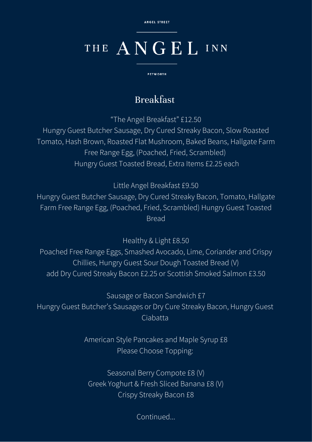ANGEL STREET

# THE ANGEL INN

**PETWORTH** 

### Breakfast

"The Angel Breakfast" £12.50

Hungry Guest Butcher Sausage, Dry Cured Streaky Bacon, Slow Roasted Tomato, Hash Brown, Roasted Flat Mushroom, Baked Beans, Hallgate Farm Free Range Egg, (Poached, Fried, Scrambled) Hungry Guest Toasted Bread, Extra Items £2.25 each

Little Angel Breakfast £9.50

Hungry Guest Butcher Sausage, Dry Cured Streaky Bacon, Tomato, Hallgate Farm Free Range Egg, (Poached, Fried, Scrambled) Hungry Guest Toasted Bread

Healthy & Light £8.50

Poached Free Range Eggs, Smashed Avocado, Lime, Coriander and Crispy Chillies, Hungry Guest Sour Dough Toasted Bread (V) add Dry Cured Streaky Bacon £2.25 or Scottish Smoked Salmon £3.50

Sausage or Bacon Sandwich £7 Hungry Guest Butcher's Sausages or Dry Cure Streaky Bacon, Hungry Guest Ciabatta

> American Style Pancakes and Maple Syrup £8 Please Choose Topping:

Seasonal Berry Compote £8 (V) Greek Yoghurt & Fresh Sliced Banana £8 (V) Crispy Streaky Bacon £8

Continued...